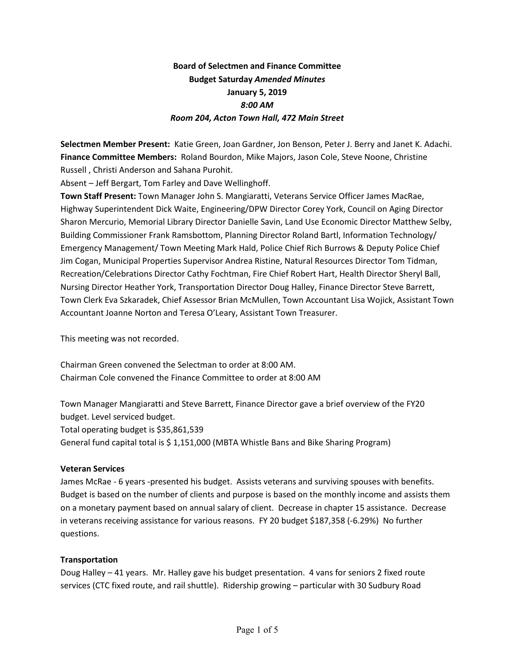# **Board of Selectmen and Finance Committee Budget Saturday** *Amended Minutes* **January 5, 2019**  *8:00 AM Room 204, Acton Town Hall, 472 Main Street*

**Selectmen Member Present:** Katie Green, Joan Gardner, Jon Benson, Peter J. Berry and Janet K. Adachi. **Finance Committee Members:** Roland Bourdon, Mike Majors, Jason Cole, Steve Noone, Christine Russell , Christi Anderson and Sahana Purohit.

Absent – Jeff Bergart, Tom Farley and Dave Wellinghoff.

**Town Staff Present:** Town Manager John S. Mangiaratti, Veterans Service Officer James MacRae, Highway Superintendent Dick Waite, Engineering/DPW Director Corey York, Council on Aging Director Sharon Mercurio, Memorial Library Director Danielle Savin, Land Use Economic Director Matthew Selby, Building Commissioner Frank Ramsbottom, Planning Director Roland Bartl, Information Technology/ Emergency Management/ Town Meeting Mark Hald, Police Chief Rich Burrows & Deputy Police Chief Jim Cogan, Municipal Properties Supervisor Andrea Ristine, Natural Resources Director Tom Tidman, Recreation/Celebrations Director Cathy Fochtman, Fire Chief Robert Hart, Health Director Sheryl Ball, Nursing Director Heather York, Transportation Director Doug Halley, Finance Director Steve Barrett, Town Clerk Eva Szkaradek, Chief Assessor Brian McMullen, Town Accountant Lisa Wojick, Assistant Town Accountant Joanne Norton and Teresa O'Leary, Assistant Town Treasurer.

This meeting was not recorded.

Chairman Green convened the Selectman to order at 8:00 AM. Chairman Cole convened the Finance Committee to order at 8:00 AM

Town Manager Mangiaratti and Steve Barrett, Finance Director gave a brief overview of the FY20 budget. Level serviced budget.

Total operating budget is \$35,861,539

General fund capital total is \$ 1,151,000 (MBTA Whistle Bans and Bike Sharing Program)

#### **Veteran Services**

James McRae - 6 years -presented his budget. Assists veterans and surviving spouses with benefits. Budget is based on the number of clients and purpose is based on the monthly income and assists them on a monetary payment based on annual salary of client. Decrease in chapter 15 assistance. Decrease in veterans receiving assistance for various reasons. FY 20 budget \$187,358 (-6.29%) No further questions.

## **Transportation**

Doug Halley – 41 years. Mr. Halley gave his budget presentation. 4 vans for seniors 2 fixed route services (CTC fixed route, and rail shuttle). Ridership growing – particular with 30 Sudbury Road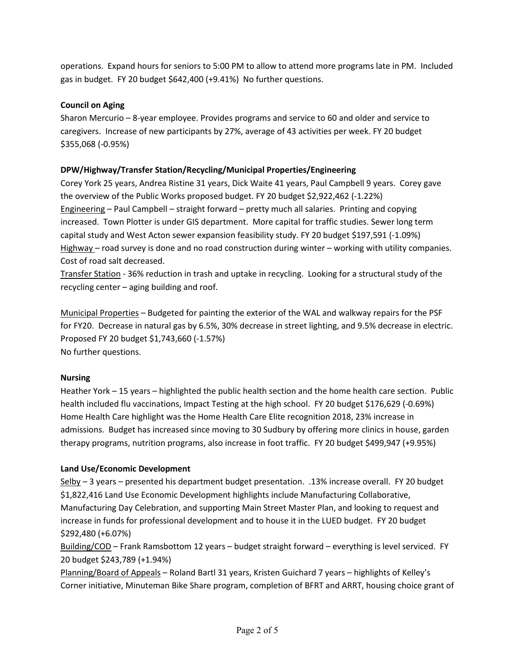operations. Expand hours for seniors to 5:00 PM to allow to attend more programs late in PM. Included gas in budget. FY 20 budget \$642,400 (+9.41%) No further questions.

## **Council on Aging**

Sharon Mercurio – 8-year employee. Provides programs and service to 60 and older and service to caregivers. Increase of new participants by 27%, average of 43 activities per week. FY 20 budget \$355,068 (-0.95%)

## **DPW/Highway/Transfer Station/Recycling/Municipal Properties/Engineering**

Corey York 25 years, Andrea Ristine 31 years, Dick Waite 41 years, Paul Campbell 9 years. Corey gave the overview of the Public Works proposed budget. FY 20 budget \$2,922,462 (-1.22%) Engineering – Paul Campbell – straight forward – pretty much all salaries. Printing and copying increased. Town Plotter is under GIS department. More capital for traffic studies. Sewer long term capital study and West Acton sewer expansion feasibility study. FY 20 budget \$197,591 (-1.09%) Highway – road survey is done and no road construction during winter – working with utility companies. Cost of road salt decreased.

Transfer Station - 36% reduction in trash and uptake in recycling. Looking for a structural study of the recycling center – aging building and roof.

Municipal Properties – Budgeted for painting the exterior of the WAL and walkway repairs for the PSF for FY20. Decrease in natural gas by 6.5%, 30% decrease in street lighting, and 9.5% decrease in electric. Proposed FY 20 budget \$1,743,660 (-1.57%) No further questions.

## **Nursing**

Heather York – 15 years – highlighted the public health section and the home health care section. Public health included flu vaccinations, Impact Testing at the high school. FY 20 budget \$176,629 (-0.69%) Home Health Care highlight was the Home Health Care Elite recognition 2018, 23% increase in admissions. Budget has increased since moving to 30 Sudbury by offering more clinics in house, garden therapy programs, nutrition programs, also increase in foot traffic. FY 20 budget \$499,947 (+9.95%)

## **Land Use/Economic Development**

Selby – 3 years – presented his department budget presentation. .13% increase overall. FY 20 budget \$1,822,416 Land Use Economic Development highlights include Manufacturing Collaborative, Manufacturing Day Celebration, and supporting Main Street Master Plan, and looking to request and increase in funds for professional development and to house it in the LUED budget. FY 20 budget \$292,480 (+6.07%)

Building/COD – Frank Ramsbottom 12 years – budget straight forward – everything is level serviced. FY 20 budget \$243,789 (+1.94%)

Planning/Board of Appeals – Roland Bartl 31 years, Kristen Guichard 7 years – highlights of Kelley's Corner initiative, Minuteman Bike Share program, completion of BFRT and ARRT, housing choice grant of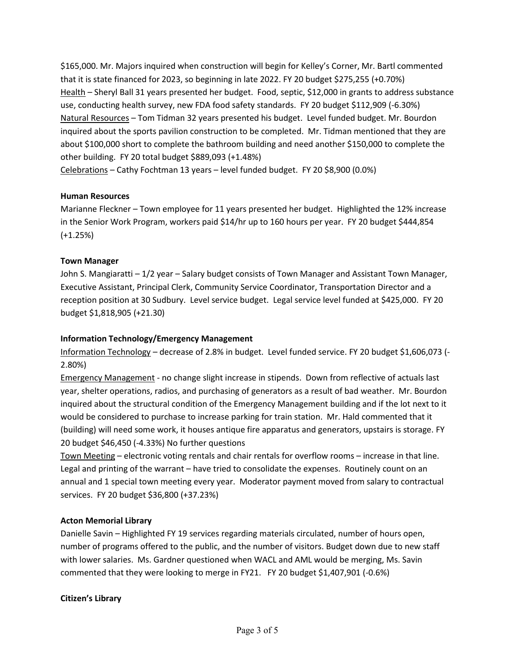\$165,000. Mr. Majors inquired when construction will begin for Kelley's Corner, Mr. Bartl commented that it is state financed for 2023, so beginning in late 2022. FY 20 budget \$275,255 (+0.70%) Health – Sheryl Ball 31 years presented her budget. Food, septic, \$12,000 in grants to address substance use, conducting health survey, new FDA food safety standards. FY 20 budget \$112,909 (-6.30%) Natural Resources – Tom Tidman 32 years presented his budget. Level funded budget. Mr. Bourdon inquired about the sports pavilion construction to be completed. Mr. Tidman mentioned that they are about \$100,000 short to complete the bathroom building and need another \$150,000 to complete the other building. FY 20 total budget \$889,093 (+1.48%) Celebrations – Cathy Fochtman 13 years – level funded budget. FY 20 \$8,900 (0.0%)

#### **Human Resources**

Marianne Fleckner – Town employee for 11 years presented her budget. Highlighted the 12% increase in the Senior Work Program, workers paid \$14/hr up to 160 hours per year. FY 20 budget \$444,854 (+1.25%)

#### **Town Manager**

John S. Mangiaratti - 1/2 year - Salary budget consists of Town Manager and Assistant Town Manager, Executive Assistant, Principal Clerk, Community Service Coordinator, Transportation Director and a reception position at 30 Sudbury. Level service budget. Legal service level funded at \$425,000. FY 20 budget \$1,818,905 (+21.30)

#### **Information Technology/Emergency Management**

Information Technology – decrease of 2.8% in budget. Level funded service. FY 20 budget \$1,606,073 (- 2.80%)

Emergency Management - no change slight increase in stipends. Down from reflective of actuals last year, shelter operations, radios, and purchasing of generators as a result of bad weather. Mr. Bourdon inquired about the structural condition of the Emergency Management building and if the lot next to it would be considered to purchase to increase parking for train station. Mr. Hald commented that it (building) will need some work, it houses antique fire apparatus and generators, upstairs is storage. FY 20 budget \$46,450 (-4.33%) No further questions

Town Meeting – electronic voting rentals and chair rentals for overflow rooms – increase in that line. Legal and printing of the warrant – have tried to consolidate the expenses. Routinely count on an annual and 1 special town meeting every year. Moderator payment moved from salary to contractual services. FY 20 budget \$36,800 (+37.23%)

#### **Acton Memorial Library**

Danielle Savin – Highlighted FY 19 services regarding materials circulated, number of hours open, number of programs offered to the public, and the number of visitors. Budget down due to new staff with lower salaries. Ms. Gardner questioned when WACL and AML would be merging, Ms. Savin commented that they were looking to merge in FY21. FY 20 budget \$1,407,901 (-0.6%)

#### **Citizen's Library**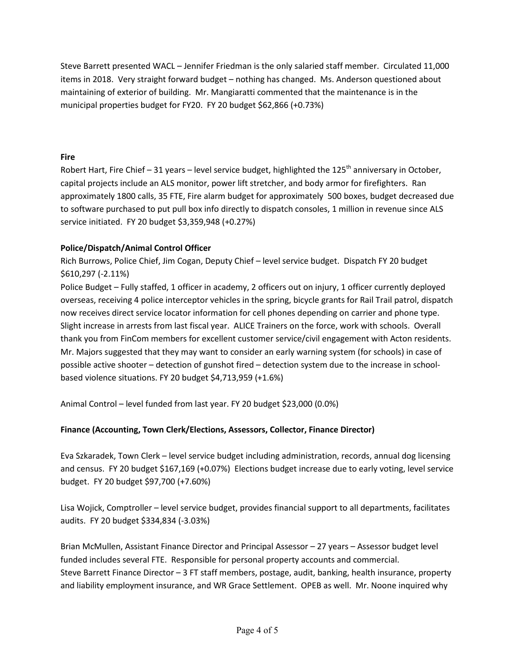Steve Barrett presented WACL – Jennifer Friedman is the only salaried staff member. Circulated 11,000 items in 2018. Very straight forward budget – nothing has changed. Ms. Anderson questioned about maintaining of exterior of building. Mr. Mangiaratti commented that the maintenance is in the municipal properties budget for FY20. FY 20 budget \$62,866 (+0.73%)

## **Fire**

Robert Hart, Fire Chief – 31 years – level service budget, highlighted the  $125<sup>th</sup>$  anniversary in October, capital projects include an ALS monitor, power lift stretcher, and body armor for firefighters. Ran approximately 1800 calls, 35 FTE, Fire alarm budget for approximately 500 boxes, budget decreased due to software purchased to put pull box info directly to dispatch consoles, 1 million in revenue since ALS service initiated. FY 20 budget \$3,359,948 (+0.27%)

## **Police/Dispatch/Animal Control Officer**

Rich Burrows, Police Chief, Jim Cogan, Deputy Chief – level service budget. Dispatch FY 20 budget \$610,297 (-2.11%)

Police Budget – Fully staffed, 1 officer in academy, 2 officers out on injury, 1 officer currently deployed overseas, receiving 4 police interceptor vehicles in the spring, bicycle grants for Rail Trail patrol, dispatch now receives direct service locator information for cell phones depending on carrier and phone type. Slight increase in arrests from last fiscal year. ALICE Trainers on the force, work with schools. Overall thank you from FinCom members for excellent customer service/civil engagement with Acton residents. Mr. Majors suggested that they may want to consider an early warning system (for schools) in case of possible active shooter – detection of gunshot fired – detection system due to the increase in schoolbased violence situations. FY 20 budget \$4,713,959 (+1.6%)

Animal Control – level funded from last year. FY 20 budget \$23,000 (0.0%)

## **Finance (Accounting, Town Clerk/Elections, Assessors, Collector, Finance Director)**

Eva Szkaradek, Town Clerk – level service budget including administration, records, annual dog licensing and census. FY 20 budget \$167,169 (+0.07%) Elections budget increase due to early voting, level service budget. FY 20 budget \$97,700 (+7.60%)

Lisa Wojick, Comptroller – level service budget, provides financial support to all departments, facilitates audits. FY 20 budget \$334,834 (-3.03%)

Brian McMullen, Assistant Finance Director and Principal Assessor – 27 years – Assessor budget level funded includes several FTE. Responsible for personal property accounts and commercial. Steve Barrett Finance Director – 3 FT staff members, postage, audit, banking, health insurance, property and liability employment insurance, and WR Grace Settlement. OPEB as well. Mr. Noone inquired why